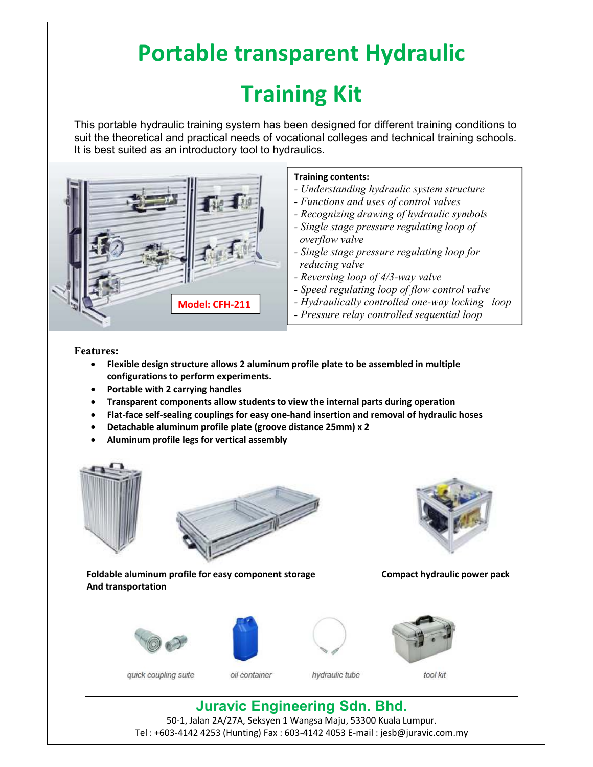## **Portable transparent Hydraulic Training Kit**

This portable hydraulic training system has been designed for different training conditions to suit the theoretical and practical needs of vocational colleges and technical training schools. It is best suited as an introductory tool to hydraulics.



## **Training contents:**

- *Understanding hydraulic system structure*
- *Functions and uses of control valves*
- *Recognizing drawing of hydraulic symbols*
- *Single stage pressure regulating loop of overflow valve*
- *Single stage pressure regulating loop for reducing valve*
- *Reversing loop of 4/3-way valve*
- *Speed regulating loop of flow control valve*
- *Hydraulically controlled one-way locking loop*
- *Pressure relay controlled sequential loop*

**Features:** 

- **Flexible design structure allows 2 aluminum profile plate to be assembled in multiple configurations to perform experiments.**
- **Portable with 2 carrying handles**
- **Transparent components allow students to view the internal parts during operation**
- **Flat-face self-sealing couplings for easy one-hand insertion and removal of hydraulic hoses**
- **Detachable aluminum profile plate (groove distance 25mm) x 2**
- **Aluminum profile legs for vertical assembly**





Foldable aluminum profile for easy component storage **Compact hydraulic power pack And transportation** 









oil container



hydraulic tube



tool kit

**Juravic Engineering Sdn. Bhd.** 50-1, Jalan 2A/27A, Seksyen 1 Wangsa Maju, 53300 Kuala Lumpur.

Tel : +603-4142 4253 (Hunting) Fax : 603-4142 4053 E-mail : jesb@juravic.com.my